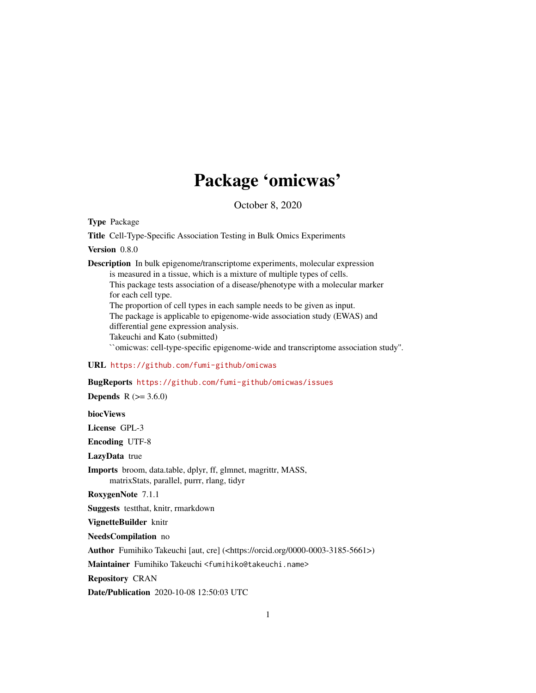# Package 'omicwas'

October 8, 2020

Type Package

Title Cell-Type-Specific Association Testing in Bulk Omics Experiments

Version 0.8.0

Description In bulk epigenome/transcriptome experiments, molecular expression is measured in a tissue, which is a mixture of multiple types of cells. This package tests association of a disease/phenotype with a molecular marker for each cell type. The proportion of cell types in each sample needs to be given as input. The package is applicable to epigenome-wide association study (EWAS) and differential gene expression analysis. Takeuchi and Kato (submitted) ``omicwas: cell-type-specific epigenome-wide and transcriptome association study''.

#### URL <https://github.com/fumi-github/omicwas>

BugReports <https://github.com/fumi-github/omicwas/issues>

**Depends**  $R (= 3.6.0)$ 

biocViews

License GPL-3

Encoding UTF-8

LazyData true

Imports broom, data.table, dplyr, ff, glmnet, magrittr, MASS, matrixStats, parallel, purrr, rlang, tidyr

RoxygenNote 7.1.1

Suggests testthat, knitr, rmarkdown

VignetteBuilder knitr

NeedsCompilation no

Author Fumihiko Takeuchi [aut, cre] (<https://orcid.org/0000-0003-3185-5661>)

Maintainer Fumihiko Takeuchi <fumihiko@takeuchi.name>

Repository CRAN

Date/Publication 2020-10-08 12:50:03 UTC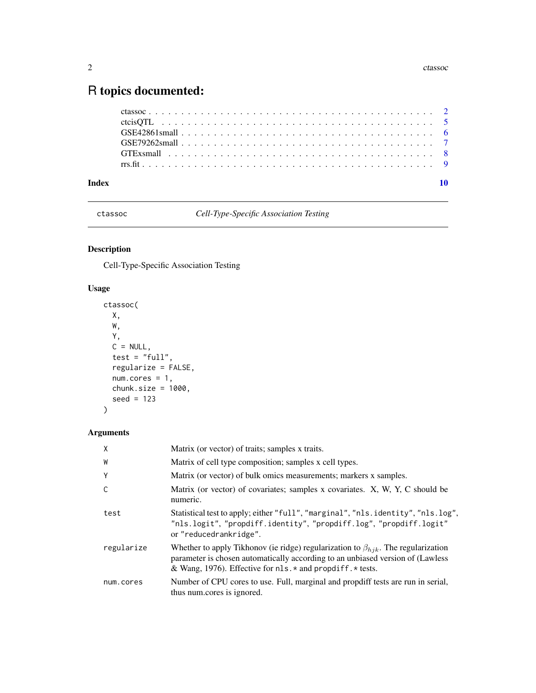## <span id="page-1-0"></span>R topics documented:

| Index |  |
|-------|--|
|       |  |
|       |  |
|       |  |
|       |  |
|       |  |
|       |  |

<span id="page-1-1"></span>ctassoc *Cell-Type-Specific Association Testing*

#### Description

Cell-Type-Specific Association Testing

#### Usage

```
ctassoc(
 X,
 W,
 Y,
 C = NULL,test = "full",regularize = FALSE,
 num.cores = 1,
 chunk.size = 1000,seed = 123
)
```
#### Arguments

| $\mathsf{X}$ | Matrix (or vector) of traits; samples x traits.                                                                                                                                                                                           |  |
|--------------|-------------------------------------------------------------------------------------------------------------------------------------------------------------------------------------------------------------------------------------------|--|
| W            | Matrix of cell type composition; samples x cell types.                                                                                                                                                                                    |  |
| Y            | Matrix (or vector) of bulk omics measurements; markers x samples.                                                                                                                                                                         |  |
| C            | Matrix (or vector) of covariates; samples x covariates. X, W, Y, C should be<br>numeric.                                                                                                                                                  |  |
| test         | Statistical test to apply; either "full", "marginal", "nls.identity", "nls.log",<br>"nls.logit", "propdiff.identity", "propdiff.log", "propdiff.logit"<br>or "reducedrankridge".                                                          |  |
| regularize   | Whether to apply Tikhonov (ie ridge) regularization to $\beta_{hjk}$ . The regularization<br>parameter is chosen automatically according to an unbiased version of (Lawless<br>& Wang, 1976). Effective for nls. * and propdiff. * tests. |  |
| num.cores    | Number of CPU cores to use. Full, marginal and propdiff tests are run in serial,<br>thus num.cores is ignored.                                                                                                                            |  |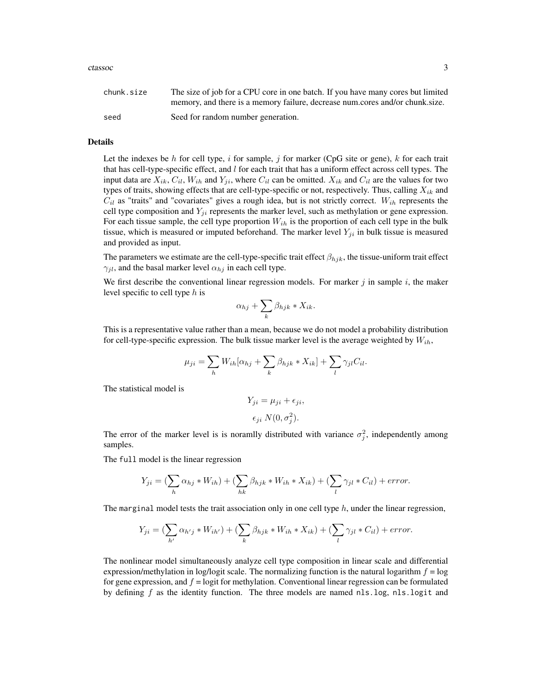#### ctassoc 3

| chunk.size | The size of job for a CPU core in one batch. If you have many cores but limited |
|------------|---------------------------------------------------------------------------------|
|            | memory, and there is a memory failure, decrease num.cores and/or chunk.size.    |
| seed       | Seed for random number generation.                                              |

#### Details

Let the indexes be h for cell type, i for sample, j for marker (CpG site or gene), k for each trait that has cell-type-specific effect, and  $l$  for each trait that has a uniform effect across cell types. The input data are  $X_{ik}$ ,  $C_{il}$ ,  $W_{ih}$  and  $Y_{ji}$ , where  $C_{il}$  can be omitted.  $X_{ik}$  and  $C_{il}$  are the values for two types of traits, showing effects that are cell-type-specific or not, respectively. Thus, calling  $X_{ik}$  and  $C_{il}$  as "traits" and "covariates" gives a rough idea, but is not strictly correct.  $W_{ih}$  represents the cell type composition and  $Y_{ji}$  represents the marker level, such as methylation or gene expression. For each tissue sample, the cell type proportion  $W_{ih}$  is the proportion of each cell type in the bulk tissue, which is measured or imputed beforehand. The marker level  $Y_{ji}$  in bulk tissue is measured and provided as input.

The parameters we estimate are the cell-type-specific trait effect  $\beta_{hjk}$ , the tissue-uniform trait effect  $\gamma_{jl}$ , and the basal marker level  $\alpha_{hj}$  in each cell type.

We first describe the conventional linear regression models. For marker  $j$  in sample  $i$ , the maker level specific to cell type  $h$  is

$$
\alpha_{hj} + \sum_{k} \beta_{hjk} * X_{ik}.
$$

This is a representative value rather than a mean, because we do not model a probability distribution for cell-type-specific expression. The bulk tissue marker level is the average weighted by  $W_{ih}$ ,

$$
\mu_{ji} = \sum_{h} W_{ih} [\alpha_{hj} + \sum_{k} \beta_{hjk} * X_{ik}] + \sum_{l} \gamma_{jl} C_{il}.
$$

The statistical model is

$$
Y_{ji} = \mu_{ji} + \epsilon_{ji},
$$
  

$$
\epsilon_{ji} N(0, \sigma_j^2).
$$

The error of the marker level is is noramlly distributed with variance  $\sigma_j^2$ , independently among samples.

The full model is the linear regression

$$
Y_{ji} = \left(\sum_{h} \alpha_{hj} * W_{ih}\right) + \left(\sum_{hk} \beta_{hjk} * W_{ih} * X_{ik}\right) + \left(\sum_{l} \gamma_{jl} * C_{il}\right) + error.
$$

The marginal model tests the trait association only in one cell type  $h$ , under the linear regression,

$$
Y_{ji} = \left(\sum_{h'} \alpha_{h'j} * W_{ih'}\right) + \left(\sum_{k} \beta_{hjk} * W_{ih} * X_{ik}\right) + \left(\sum_{l} \gamma_{jl} * C_{il}\right) + error.
$$

The nonlinear model simultaneously analyze cell type composition in linear scale and differential expression/methylation in log/logit scale. The normalizing function is the natural logarithm  $f = \log$ for gene expression, and  $f =$  logit for methylation. Conventional linear regression can be formulated by defining  $f$  as the identity function. The three models are named nls.log, nls.logit and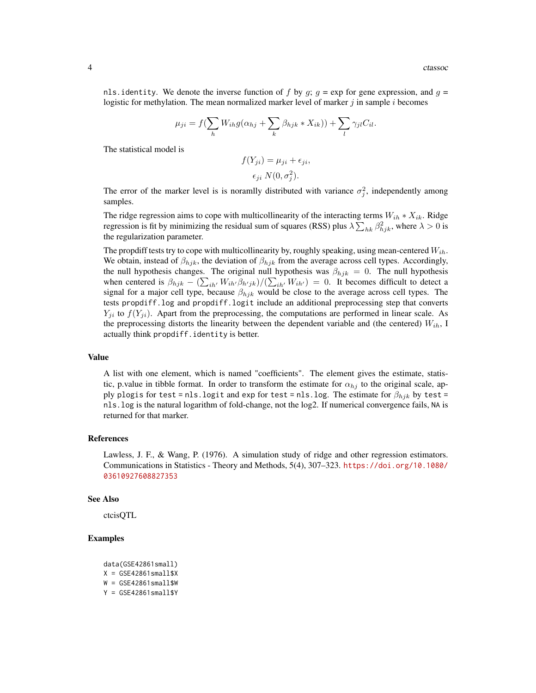nls. identity. We denote the inverse function of f by  $q$ ;  $q = \exp$  for gene expression, and  $q =$ logistic for methylation. The mean normalized marker level of marker  $j$  in sample  $i$  becomes

$$
\mu_{ji} = f(\sum_{h} W_{ih}g(\alpha_{hj} + \sum_{k} \beta_{hjk} * X_{ik})) + \sum_{l} \gamma_{jl} C_{il}.
$$

The statistical model is

$$
f(Y_{ji}) = \mu_{ji} + \epsilon_{ji},
$$

$$
\epsilon_{ji} N(0, \sigma_j^2).
$$

The error of the marker level is is noramlly distributed with variance  $\sigma_j^2$ , independently among samples.

The ridge regression aims to cope with multicollinearity of the interacting terms  $W_{ih} * X_{ik}$ . Ridge regression is fit by minimizing the residual sum of squares (RSS) plus  $\lambda \sum_{hk} \beta_{hjk}^2$ , where  $\lambda > 0$  is the regularization parameter.

The propdiff tests try to cope with multicollinearity by, roughly speaking, using mean-centered  $W_{ih}$ . We obtain, instead of  $\beta_{hjk}$ , the deviation of  $\beta_{hjk}$  from the average across cell types. Accordingly, the null hypothesis changes. The original null hypothesis was  $\beta_{hjk} = 0$ . The null hypothesis when centered is  $\beta_{hjk} - (\sum_{ih'} W_{ih'} \beta_{h'jk})/(\sum_{ih'} W_{ih'}) = 0$ . It becomes difficult to detect a signal for a major cell type, because  $\beta_{hjk}$  would be close to the average across cell types. The tests propdiff.log and propdiff.logit include an additional preprocessing step that converts  $Y_{ji}$  to  $f(Y_{ji})$ . Apart from the preprocessing, the computations are performed in linear scale. As the preprocessing distorts the linearity between the dependent variable and (the centered)  $W_{ih}$ , I actually think propdiff. identity is better.

#### Value

A list with one element, which is named "coefficients". The element gives the estimate, statistic, p.value in tibble format. In order to transform the estimate for  $\alpha_{hj}$  to the original scale, apply plogis for test = nls.logit and exp for test = nls.log. The estimate for  $\beta_{hjk}$  by test = nls.log is the natural logarithm of fold-change, not the log2. If numerical convergence fails, NA is returned for that marker.

#### References

Lawless, J. F., & Wang, P. (1976). A simulation study of ridge and other regression estimators. Communications in Statistics - Theory and Methods, 5(4), 307–323. [https://doi.org/10.1080/](https://doi.org/10.1080/03610927608827353) [03610927608827353](https://doi.org/10.1080/03610927608827353)

#### See Also

ctcisQTL

#### Examples

```
data(GSE42861small)
X = GSE42861small$X
W = GSE42861small$W
Y = GSE42861small$Y
```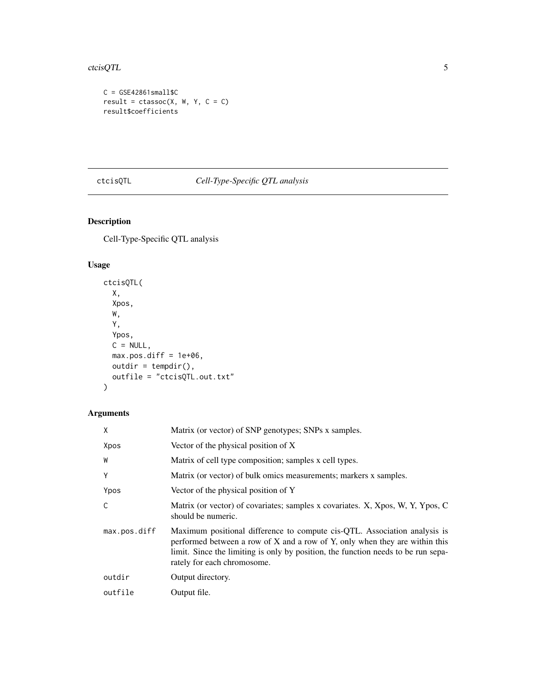#### <span id="page-4-0"></span>ctcisQTL 5

```
C = GSE42861small$C
result = \text{ctassoc}(X, W, Y, C = C)result$coefficients
```
### ctcisQTL *Cell-Type-Specific QTL analysis*

#### Description

Cell-Type-Specific QTL analysis

#### Usage

```
ctcisQTL(
 X,
 Xpos,
 W,
 Y,
 Ypos,
 C = NULL,max.pos.diff = 1e+06,
 outdir = tempdir(),outfile = "ctcisQTL.out.txt"
\mathcal{L}
```
### Arguments

| X            | Matrix (or vector) of SNP genotypes; SNPs x samples.                                                                                                                                                                                                                         |
|--------------|------------------------------------------------------------------------------------------------------------------------------------------------------------------------------------------------------------------------------------------------------------------------------|
| Xpos         | Vector of the physical position of X                                                                                                                                                                                                                                         |
| W            | Matrix of cell type composition; samples x cell types.                                                                                                                                                                                                                       |
| Υ            | Matrix (or vector) of bulk omics measurements; markers x samples.                                                                                                                                                                                                            |
| Ypos         | Vector of the physical position of Y                                                                                                                                                                                                                                         |
| C            | Matrix (or vector) of covariates; samples x covariates. X, Xpos, W, Y, Ypos, C<br>should be numeric.                                                                                                                                                                         |
| max.pos.diff | Maximum positional difference to compute cis-QTL. Association analysis is<br>performed between a row of X and a row of Y, only when they are within this<br>limit. Since the limiting is only by position, the function needs to be run sepa-<br>rately for each chromosome. |
| outdir       | Output directory.                                                                                                                                                                                                                                                            |
| outfile      | Output file.                                                                                                                                                                                                                                                                 |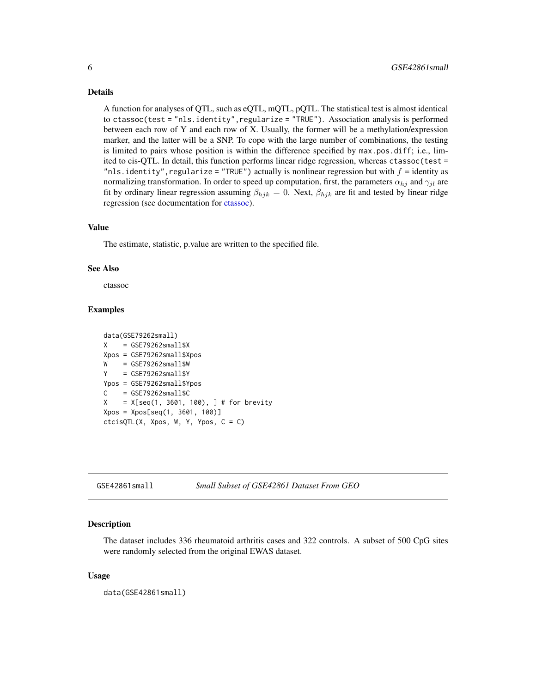#### <span id="page-5-0"></span>Details

A function for analyses of QTL, such as eQTL, mQTL, pQTL. The statistical test is almost identical to ctassoc(test = "nls.identity",regularize = "TRUE"). Association analysis is performed between each row of Y and each row of X. Usually, the former will be a methylation/expression marker, and the latter will be a SNP. To cope with the large number of combinations, the testing is limited to pairs whose position is within the difference specified by max.pos.diff; i.e., limited to cis-QTL. In detail, this function performs linear ridge regression, whereas ctassoc(test = "nls.identity", regularize = "TRUE") actually is nonlinear regression but with  $f =$  identity as normalizing transformation. In order to speed up computation, first, the parameters  $\alpha_{hj}$  and  $\gamma_{jl}$  are fit by ordinary linear regression assuming  $\beta_{hjk} = 0$ . Next,  $\beta_{hjk}$  are fit and tested by linear ridge regression (see documentation for [ctassoc\)](#page-1-1).

#### Value

The estimate, statistic, p.value are written to the specified file.

#### See Also

ctassoc

#### Examples

```
data(GSE79262small)
X = GSE79262small$X
Xpos = GSE79262small$Xpos
W = GSE79262small$W
Y = GSE79262small$Y
Ypos = GSE79262small$Ypos
C = GSE79262small$C
X = X[seq(1, 3601, 100), ] # for brevityXpos = Xpos[seq(1, 3601, 100)]
ctcisQTL(X, Xpos, W, Y, Ypos, C = C)
```
GSE42861small *Small Subset of GSE42861 Dataset From GEO*

#### Description

The dataset includes 336 rheumatoid arthritis cases and 322 controls. A subset of 500 CpG sites were randomly selected from the original EWAS dataset.

#### Usage

data(GSE42861small)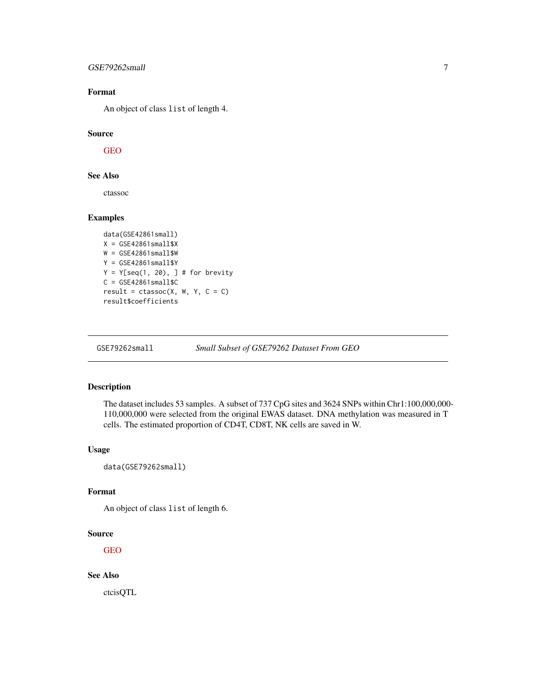#### <span id="page-6-0"></span>GSE79262small 7

#### Format

An object of class list of length 4.

#### Source

[GEO](https://www.ncbi.nlm.nih.gov/geo/query/acc.cgi?acc=GSE42861)

#### See Also

ctassoc

#### Examples

```
data(GSE42861small)
X = GSE42861small$X
W = GSE42861small$W
Y = GSE42861small$Y
Y = Y[seq(1, 20), ] # for brevityC = GSE42861small$C
result = classoc(X, W, Y, C = C)result$coefficients
```
GSE79262small *Small Subset of GSE79262 Dataset From GEO*

#### Description

The dataset includes 53 samples. A subset of 737 CpG sites and 3624 SNPs within Chr1:100,000,000- 110,000,000 were selected from the original EWAS dataset. DNA methylation was measured in T cells. The estimated proportion of CD4T, CD8T, NK cells are saved in W.

#### Usage

data(GSE79262small)

#### Format

An object of class list of length 6.

#### Source

[GEO](https://www.ncbi.nlm.nih.gov/geo/query/acc.cgi?acc=GSE79262)

#### See Also

ctcisQTL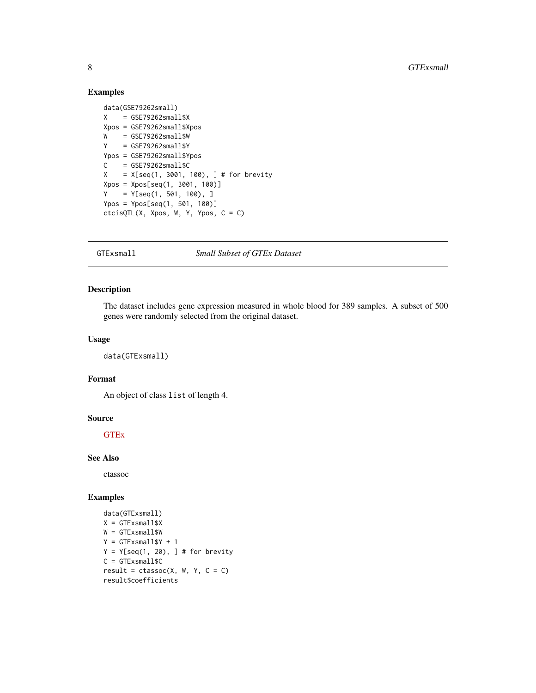#### Examples

```
data(GSE79262small)
X = GSE79262small$X
Xpos = GSE79262small$Xpos
W = GSE79262small$W
Y = GSE79262small$Y
Ypos = GSE79262small$Ypos
C = GSE79262small$C
X = X[seq(1, 3001, 100), ] # for brevityXpos = Xpos[seq(1, 3001, 100)]
Y = Y[seq(1, 501, 100), ]Ypos = Ypos[seq(1, 501, 100)]
ctcisQTL(X, Xpos, W, Y, Ypos, C = C)
```
#### GTExsmall *Small Subset of GTEx Dataset*

#### Description

The dataset includes gene expression measured in whole blood for 389 samples. A subset of 500 genes were randomly selected from the original dataset.

#### Usage

data(GTExsmall)

#### Format

An object of class list of length 4.

#### Source

**[GTEx](https://gtexportal.org)** 

#### See Also

ctassoc

#### Examples

```
data(GTExsmall)
X = GTEx small$X
W = GTExsmall$W
Y = GTExsmall$Y + 1
Y = Y[seq(1, 20), ] # for brevityC = GTExsmall$C
result = classoc(X, W, Y, C = C)result$coefficients
```
<span id="page-7-0"></span>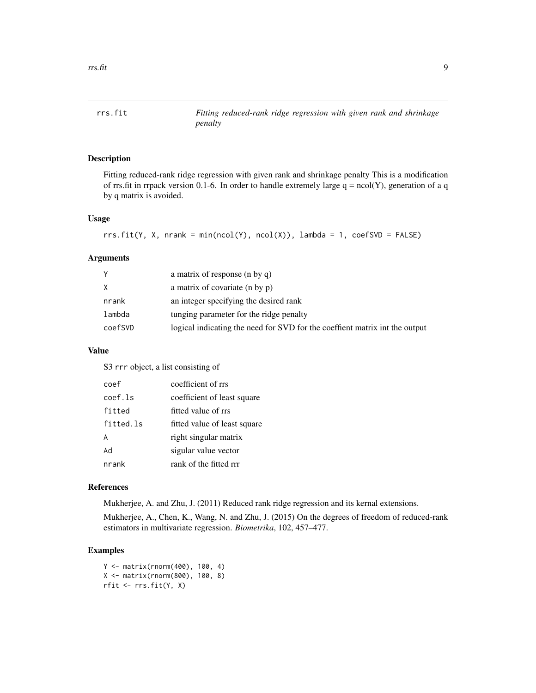<span id="page-8-0"></span>

#### Description

Fitting reduced-rank ridge regression with given rank and shrinkage penalty This is a modification of rrs.fit in rrpack version 0.1-6. In order to handle extremely large  $q = ncol(Y)$ , generation of a q by q matrix is avoided.

#### Usage

```
rrs.fit(Y, X, nrank = min(ncol(Y), ncol(X)), lambda = 1, coeffSVD = FALSE)
```
#### Arguments

| Y       | a matrix of response (n by q)                                               |
|---------|-----------------------------------------------------------------------------|
| X.      | a matrix of covariate (n by p)                                              |
| nrank   | an integer specifying the desired rank                                      |
| lambda  | tunging parameter for the ridge penalty                                     |
| coefSVD | logical indicating the need for SVD for the coeffient matrix int the output |

#### Value

S3 rrr object, a list consisting of

| coef      | coefficient of rrs           |
|-----------|------------------------------|
| coef.ls   | coefficient of least square  |
| fitted    | fitted value of rrs          |
| fitted.ls | fitted value of least square |
| A         | right singular matrix        |
| Ad        | sigular value vector         |
| nrank     | rank of the fitted rrr       |

#### References

Mukherjee, A. and Zhu, J. (2011) Reduced rank ridge regression and its kernal extensions.

Mukherjee, A., Chen, K., Wang, N. and Zhu, J. (2015) On the degrees of freedom of reduced-rank estimators in multivariate regression. *Biometrika*, 102, 457–477.

#### Examples

Y <- matrix(rnorm(400), 100, 4) X <- matrix(rnorm(800), 100, 8) rfit <- rrs.fit(Y, X)